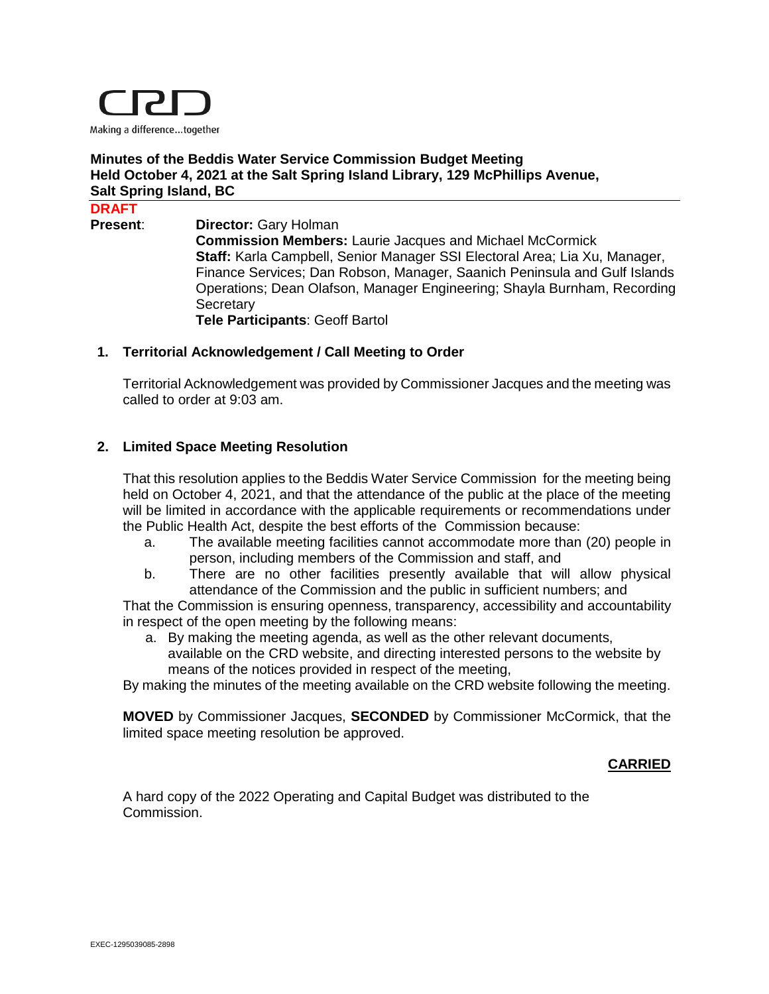

### **Minutes of the Beddis Water Service Commission Budget Meeting Held October 4, 2021 at the Salt Spring Island Library, 129 McPhillips Avenue, Salt Spring Island, BC**

#### **DRAFT**

**Present: Director:** Gary Holman **Commission Members:** Laurie Jacques and Michael McCormick **Staff:** Karla Campbell, Senior Manager SSI Electoral Area; Lia Xu, Manager, Finance Services; Dan Robson, Manager, Saanich Peninsula and Gulf Islands Operations; Dean Olafson, Manager Engineering; Shayla Burnham, Recording **Secretary Tele Participants**: Geoff Bartol

#### **1. Territorial Acknowledgement / Call Meeting to Order**

Territorial Acknowledgement was provided by Commissioner Jacques and the meeting was called to order at 9:03 am.

#### **2. Limited Space Meeting Resolution**

That this resolution applies to the Beddis Water Service Commission for the meeting being held on October 4, 2021, and that the attendance of the public at the place of the meeting will be limited in accordance with the applicable requirements or recommendations under the Public Health Act, despite the best efforts of the Commission because:

- a. The available meeting facilities cannot accommodate more than (20) people in person, including members of the Commission and staff, and
- b. There are no other facilities presently available that will allow physical attendance of the Commission and the public in sufficient numbers; and

That the Commission is ensuring openness, transparency, accessibility and accountability in respect of the open meeting by the following means:

a. By making the meeting agenda, as well as the other relevant documents, available on the CRD website, and directing interested persons to the website by means of the notices provided in respect of the meeting,

By making the minutes of the meeting available on the CRD website following the meeting.

**MOVED** by Commissioner Jacques, **SECONDED** by Commissioner McCormick, that the limited space meeting resolution be approved.

#### **CARRIED**

A hard copy of the 2022 Operating and Capital Budget was distributed to the Commission.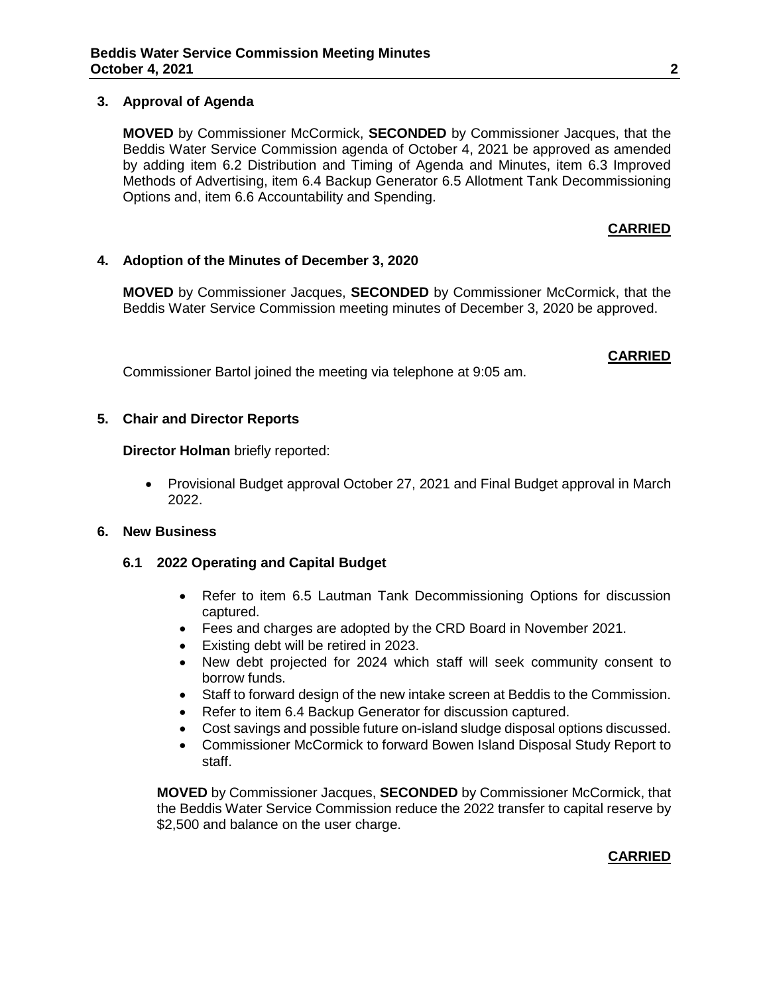#### **3. Approval of Agenda**

**MOVED** by Commissioner McCormick, **SECONDED** by Commissioner Jacques, that the Beddis Water Service Commission agenda of October 4, 2021 be approved as amended by adding item 6.2 Distribution and Timing of Agenda and Minutes, item 6.3 Improved Methods of Advertising, item 6.4 Backup Generator 6.5 Allotment Tank Decommissioning Options and, item 6.6 Accountability and Spending.

#### **CARRIED**

#### **4. Adoption of the Minutes of December 3, 2020**

**MOVED** by Commissioner Jacques, **SECONDED** by Commissioner McCormick, that the Beddis Water Service Commission meeting minutes of December 3, 2020 be approved.

### **CARRIED**

Commissioner Bartol joined the meeting via telephone at 9:05 am.

#### **5. Chair and Director Reports**

**Director Holman** briefly reported:

• Provisional Budget approval October 27, 2021 and Final Budget approval in March 2022.

### **6. New Business**

### **6.1 2022 Operating and Capital Budget**

- Refer to item 6.5 Lautman Tank Decommissioning Options for discussion captured.
- Fees and charges are adopted by the CRD Board in November 2021.
- Existing debt will be retired in 2023.
- New debt projected for 2024 which staff will seek community consent to borrow funds.
- Staff to forward design of the new intake screen at Beddis to the Commission.
- Refer to item 6.4 Backup Generator for discussion captured.
- Cost savings and possible future on-island sludge disposal options discussed.
- Commissioner McCormick to forward Bowen Island Disposal Study Report to staff.

**MOVED** by Commissioner Jacques, **SECONDED** by Commissioner McCormick, that the Beddis Water Service Commission reduce the 2022 transfer to capital reserve by \$2,500 and balance on the user charge.

### **CARRIED**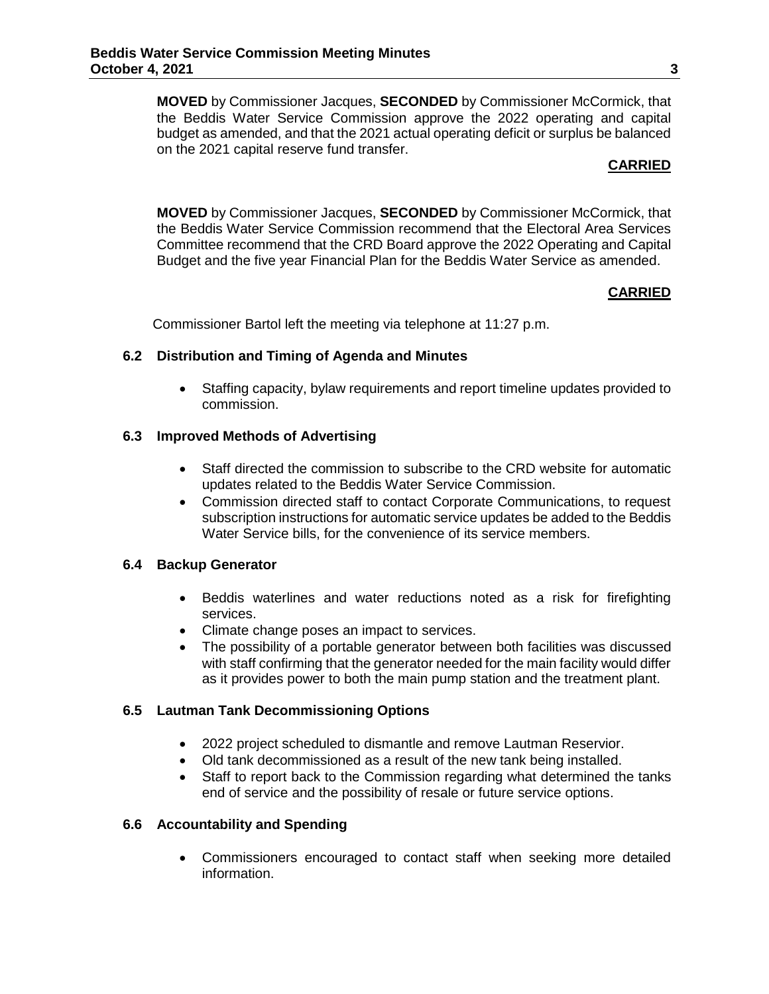**MOVED** by Commissioner Jacques, **SECONDED** by Commissioner McCormick, that the Beddis Water Service Commission approve the 2022 operating and capital budget as amended, and that the 2021 actual operating deficit or surplus be balanced on the 2021 capital reserve fund transfer.

#### **CARRIED**

**MOVED** by Commissioner Jacques, **SECONDED** by Commissioner McCormick, that the Beddis Water Service Commission recommend that the Electoral Area Services Committee recommend that the CRD Board approve the 2022 Operating and Capital Budget and the five year Financial Plan for the Beddis Water Service as amended.

### **CARRIED**

Commissioner Bartol left the meeting via telephone at 11:27 p.m.

#### **6.2 Distribution and Timing of Agenda and Minutes**

 Staffing capacity, bylaw requirements and report timeline updates provided to commission.

#### **6.3 Improved Methods of Advertising**

- Staff directed the commission to subscribe to the CRD website for automatic updates related to the Beddis Water Service Commission.
- Commission directed staff to contact Corporate Communications, to request subscription instructions for automatic service updates be added to the Beddis Water Service bills, for the convenience of its service members.

### **6.4 Backup Generator**

- Beddis waterlines and water reductions noted as a risk for firefighting services.
- Climate change poses an impact to services.
- The possibility of a portable generator between both facilities was discussed with staff confirming that the generator needed for the main facility would differ as it provides power to both the main pump station and the treatment plant.

### **6.5 Lautman Tank Decommissioning Options**

- 2022 project scheduled to dismantle and remove Lautman Reservior.
- Old tank decommissioned as a result of the new tank being installed.
- Staff to report back to the Commission regarding what determined the tanks end of service and the possibility of resale or future service options.

### **6.6 Accountability and Spending**

 Commissioners encouraged to contact staff when seeking more detailed information.